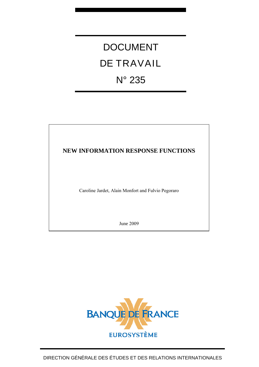# DOCUMENT DE TRAVAIL N° 235

# **NEW INFORMATION RESPONSE FUNCTIONS**

Caroline Jardet, Alain Monfort and Fulvio Pegoraro

June 2009

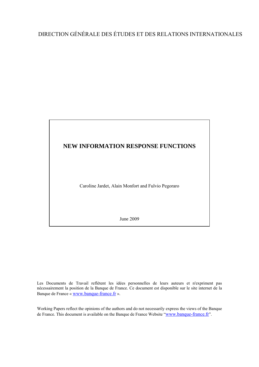# DIRECTION GÉNÉRALE DES ÉTUDES ET DES RELATIONS INTERNATIONALES



Les Documents de Travail reflètent les idées personnelles de leurs auteurs et n'expriment pas nécessairement la position de la Banque de France. Ce document est disponible sur le site internet de la Banque de France « [www.banque-france.fr](http://www.banque-france.fr/) ».

Working Papers reflect the opinions of the authors and do not necessarily express the views of the Banque de France. This document is available on the Banque de France Website "[www.banque-france.fr](http://www.banque-france.fr/)".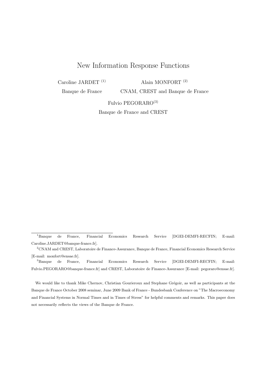# New Information Response Functions

Caroline JARDET (1)

Alain MONFORT (2)

Banque de France

CNAM, CREST and Banque de France

Fulvio PEGORARO(3)

Banque de France and CREST

We would like to thank Mike Chernov, Christian Gourieroux and Stephane Grégoir, as well as participants at the Banque de France October 2008 seminar, June 2009 Bank of France - Bundesbank Conference on "The Macroeconomy and Financial Systems in Normal Times and in Times of Stress" for helpful comments and remarks. This paper does not necessarily reflects the views of the Banque de France.

<sup>1</sup>Banque de France, Financial Economics Research Service [DGEI-DEMFI-RECFIN; E-mail: Caroline.JARDET@banque-france.fr].

<sup>2</sup>CNAM and CREST, Laboratoire de Finance-Assurance, Banque de France, Financial Economics Research Service [E-mail: monfort@ensae.fr].

<sup>3</sup>Banque de France, Financial Economics Research Service [DGEI-DEMFI-RECFIN; E-mail: Fulvio.PEGORARO@banque-france.fr] and CREST, Laboratoire de Finance-Assurance [E-mail: pegoraro@ensae.fr].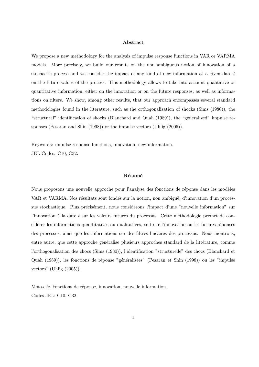#### Abstract

We propose a new methodology for the analysis of impulse response functions in VAR or VARMA models. More precisely, we build our results on the non ambiguous notion of innovation of a stochastic process and we consider the impact of any kind of new information at a given date  $t$ on the future values of the process. This methodology allows to take into account qualitative or quantitative information, either on the innovation or on the future responses, as well as informations on filters. We show, among other results, that our approach encompasses several standard methodologies found in the literature, such as the orthogonalization of shocks (Sims (1980)), the "structural" identification of shocks (Blanchard and Quah (1989)), the "generalized" impulse responses (Pesaran and Shin (1998)) or the impulse vectors (Uhlig (2005)).

Keywords: impulse response functions, innovation, new information. JEL Codes: C10, C32.

#### Résumé

Nous proposons une nouvelle approche pour l'analyse des fonctions de réponse dans les modèles VAR et VARMA. Nos résultats sont fondés sur la notion, non ambiguë, d'innovation d'un processus stochastique. Plus précisément, nous considérons l'impact d'une "nouvelle information" sur l'innovation à la date  $t$  sur les valeurs futures du processus. Cette méthodologie permet de considérer les informations quantitatives ou qualitatives, soit sur l'innovation ou les futures réponses des processus, ainsi que les informations sur des filtres linéaires des processus. Nous montrons, entre autre, que cette approche généralise plusieurs approches standard de la littérature, comme l'orthogonalisation des chocs (Sims (1980)), l'identification "structurelle" des chocs (Blanchard et Quah (1989)), les fonctions de réponse "généralisées" (Pesaran et Shin (1998)) ou les "impulse vectors" (Uhlig (2005)).

Mots-clé: Fonctions de réponse, innovation, nouvelle information. Codes JEL: C10, C32.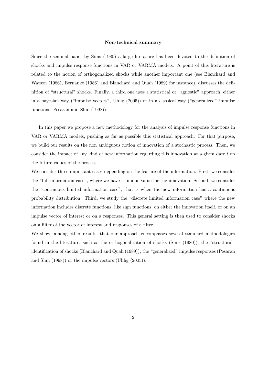#### Non-technical summary

Since the seminal paper by Sims (1980) a large literature has been devoted to the definition of shocks and impulse response functions in VAR or VARMA models. A point of this literature is related to the notion of orthogonalized shocks while another important one (see Blanchard and Watson (1986), Bernanke (1986) and Blanchard and Quah (1989) for instance), discusses the definition of "structural" shocks. Finally, a third one uses a statistical or "agnostic" approach, either in a bayesian way ("impulse vectors", Uhlig (2005)) or in a classical way ("generalized" impulse functions, Pesaran and Shin (1998)).

In this paper we propose a new methodology for the analysis of impulse response functions in VAR or VARMA models, pushing as far as possible this statistical approach. For that purpose, we build our results on the non ambiguous notion of innovation of a stochastic process. Then, we consider the impact of any kind of new information regarding this innovation at a given date t on the future values of the process.

We consider three important cases depending on the feature of the information. First, we consider the "full information case", where we have a unique value for the innovation. Second, we consider the "continuous limited information case", that is when the new information has a continuous probability distribution. Third, we study the "discrete limited information case" where the new information includes discrete functions, like sign functions, on either the innovation itself, or on an impulse vector of interest or on a responses. This general setting is then used to consider shocks on a filter of the vector of interest and responses of a filter.

We show, among other results, that our approach encompasses several standard methodologies found in the literature, such as the orthogonalization of shocks (Sims (1980)), the "structural" identification of shocks (Blanchard and Quah (1989)), the "generalized" impulse responses (Pesaran and Shin (1998)) or the impulse vectors (Uhlig (2005)).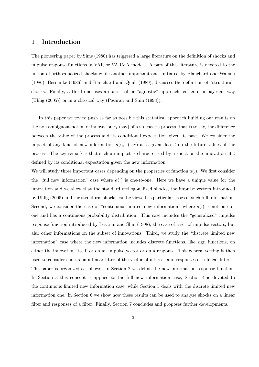# 1 Introduction

The pioneering paper by Sims (1980) has triggered a large literature on the definition of shocks and impulse response functions in VAR or VARMA models. A part of this literature is devoted to the notion of orthogonalized shocks while another important one, initiated by Blanchard and Watson (1986), Bernanke (1986) and Blanchard and Quah (1989), discusses the definition of "structural" shocks. Finally, a third one uses a statistical or "agnostic" approach, either in a bayesian way (Uhlig (2005)) or in a classical way (Pesaran and Shin (1998)).

In this paper we try to push as far as possible this statistical approach building our results on the non ambiguous notion of innovation  $\varepsilon_t$  (say) of a stochastic process, that is to say, the difference between the value of the process and its conditional expectation given its past. We consider the impact of any kind of new information  $a(\varepsilon_t)$  (say) at a given date t on the future values of the process. The key remark is that such an impact is characterized by a shock on the innovation at t defined by its conditional expectation given the new information.

We will study three important cases depending on the properties of function  $a(.)$ . We first consider the "full new information" case where  $a(.)$  is one-to-one. Here we have a unique value for the innovation and we show that the standard orthogonalized shocks, the impulse vectors introduced by Uhlig (2005) and the structural shocks can be viewed as particular cases of such full information. Second, we consider the case of "continuous limited new information" where  $a(.)$  is not one-toone and has a continuous probability distribution. This case includes the "generalized" impulse response function introduced by Pesaran and Shin (1998), the case of a set of impulse vectors, but also other informations on the subset of innovations. Third, we study the "discrete limited new information" case where the new information includes discrete functions, like sign functions, on either the innovation itself, or on an impulse vector or on a response. This general setting is then used to consider shocks on a linear filter of the vector of interest and responses of a linear filter. The paper is organized as follows. In Section 2 we define the new information response function. In Section 3 this concept is applied to the full new information case, Section 4 is devoted to the continuous limited new information case, while Section 5 deals with the discrete limited new

information one. In Section 6 we show how these results can be used to analyze shocks on a linear filter and responses of a filter. Finally, Section 7 concludes and proposes further developments.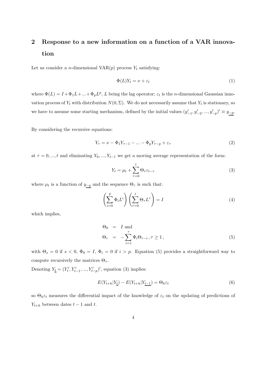# 2 Response to a new information on a function of a VAR innovation

Let us consider a *n*-dimensional  $VAR(p)$  process  $Y_t$  satisfying:

$$
\Phi(L)Y_t = \nu + \varepsilon_t \tag{1}
$$

where  $\Phi(L) = I + \Phi_1 L + ... + \Phi_p L^p$ , L being the lag operator;  $\varepsilon_t$  is the *n*-dimensional Gaussian innovation process of  $Y_t$  with distribution  $N(0, \Sigma)$ . We do not necessarily assume that  $Y_t$  is stationary, so we have to assume some starting mechanism, defined by the initial values  $(y'_{-1}, y'_{-2}, ..., y'_{-p})' \equiv y_{-p}$ .

By considering the recursive equations:

$$
Y_{\tau} = \nu - \Phi_1 Y_{\tau - 1} - \dots - \Phi_p Y_{\tau - p} + \varepsilon_{\tau}
$$
\n<sup>(2)</sup>

at  $\tau = 0, ..., t$  and eliminating  $Y_0, ..., Y_{t-1}$  we get a moving average representation of the form:

$$
Y_t = \mu_t + \sum_{\tau=0}^t \Theta_\tau \varepsilon_{t-\tau}
$$
\n(3)

where  $\mu_t$  is a function of  $y_{-p}$  and the sequence  $\Theta_{\tau}$  is such that:

$$
\left(\sum_{i=0}^{p} \Phi_i L^i\right) \left(\sum_{\tau=0}^{t} \Theta_\tau L^{\tau}\right) = I \tag{4}
$$

which implies,

$$
\Theta_0 = I \text{ and}
$$
  
\n
$$
\Theta_{\tau} = -\sum_{i=1}^{\tau} \Phi_i \Theta_{\tau-i}, \tau \ge 1,
$$
\n(5)

with  $\Theta_s = 0$  if  $s < 0$ ,  $\Phi_0 = I$ ,  $\Phi_i = 0$  if  $i > p$ . Equation (5) provides a straightforward way to compute recursively the matrices  $\Theta_{\tau}$ .

Denoting  $Y_{\underline{t}} = (Y_t')$  $Y'_{t}, Y'_{t-1}, ..., Y'_{t-p}'$ , equation (3) implies:

$$
E(Y_{t+h}|Y_{\underline{t}}) - E(Y_{t+h}|Y_{\underline{t-1}}) = \Theta_h \varepsilon_t \tag{6}
$$

so  $\Theta_h \varepsilon_t$  measures the differential impact of the knowledge of  $\varepsilon_t$  on the updating of predictions of  $Y_{t+h}$  between dates  $t-1$  and  $t$ .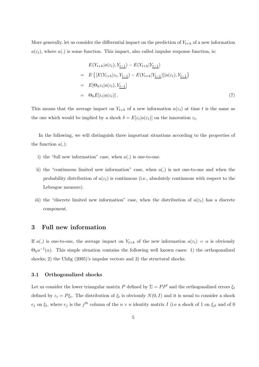More generally, let us consider the differential impact on the prediction of  $Y_{t+h}$  of a new information  $a(\varepsilon_t)$ , where  $a(.)$  is some function. This impact, also called impulse response function, is:

$$
E(Y_{t+h}|a(\varepsilon_t), Y_{t-1}) - E(Y_{t+h}|Y_{t-1})
$$
  
= 
$$
E\{[E(Y_{t+h}|\varepsilon_t, Y_{t-1}) - E(Y_{t+h}|Y_{t-1})]|a(\varepsilon_t), Y_{t-1}\}
$$
  
= 
$$
E[\Theta_h \varepsilon_t | a(\varepsilon_t), Y_{t-1}]
$$
  
= 
$$
\Theta_h E[\varepsilon_t | a(\varepsilon_t)].
$$
 (7)

This means that the average impact on  $Y_{t+h}$  of a new information  $a(\varepsilon_t)$  at time t is the same as the one which would be implied by a shock  $\delta = E[\varepsilon_t|a(\varepsilon_t)]$  on the innovation  $\varepsilon_t$ .

In the following, we will distinguish three important situations according to the properties of the function  $a(.)$ :

- i) the "full new information" case, when  $a(.)$  is one-to-one.
- ii) the "continuous limited new information" case, when  $a(.)$  is not one-to-one and when the probability distribution of  $a(\varepsilon_t)$  is continuous (i.e., absolutely continuous with respect to the Lebesgue measure).
- iii) the "discrete limited new information" case, when the distribution of  $a(\epsilon_t)$  has a discrete component.

## 3 Full new information

If a(.) is one-to-one, the average impact on  $Y_{t+h}$  of the new information  $a(\varepsilon_t) = \alpha$  is obviously  $\Theta_h a^{-1}(\alpha)$ . This simple situation contains the following well known cases: 1) the orthogonalized shocks; 2) the Uhlig (2005)'s impulse vectors and 3) the structural shocks.

#### 3.1 Orthogonalized shocks

Let us consider the lower triangular matrix P defined by  $\Sigma = PP'$  and the orthogonalized errors  $\xi_t$ defined by  $\varepsilon_t = P \xi_t$ . The distribution of  $\xi_t$  is obviously  $N(0, I)$  and it is usual to consider a shock  $e_j$  on  $\xi_t$ , where  $e_j$  is the  $j^{th}$  column of the  $n \times n$  identity matrix I (i.e a shock of 1 on  $\xi_{jt}$  and of 0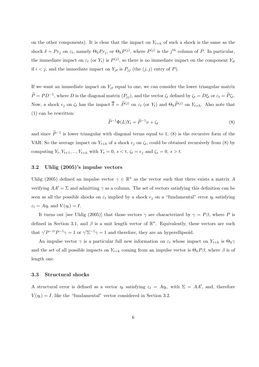on the other components). It is clear that the impact on  $Y_{t+h}$  of such a shock is the same as the shock  $\delta = Pe_j$  on  $\varepsilon_t$ , namely  $\Theta_h Pe_j$ , or  $\Theta_h P^{(j)}$ , where  $P^{(j)}$  is the  $j^{th}$  column of P. In particular, the immediate impact on  $\varepsilon_t$  (or  $Y_t$ ) is  $P^{(j)}$ , so there is no immediate impact on the component  $Y_{it}$ if  $i < j$ , and the immediate impact on  $Y_{jt}$  is  $P_{jj}$  (the  $(j, j)$  entry of P).

If we want an immediate impact on  $Y_{jt}$  equal to one, we can consider the lower triangular matrix  $\widetilde{P} = PD^{-1}$ , where D is the diagonal matrix  $(P_{jj})$ , and the vector  $\zeta_t$  defined by  $\zeta_t = D\xi_t$  or  $\varepsilon_t = \widetilde{P}\zeta_t$ . Now, a shock  $e_j$  on  $\zeta_t$  has the impact  $\overline{\delta} = \widetilde{P}^{(j)}$  on  $\varepsilon_t$  (or  $Y_t$ ) and  $\Theta_h \widetilde{P}^{(j)}$  on  $Y_{t+h}$ . Also note that (1) can be rewritten:

$$
\widetilde{P}^{-1}\Phi(L)Y_t = \widetilde{P}^{-1}\nu + \zeta_t \tag{8}
$$

and since  $\tilde{P}^{-1}$  is lower triangular with diagonal terms equal to 1, (8) is the recursive form of the VAR. So the average impact on  $Y_{t+h}$  of a shock  $e_j$  on  $\zeta_t$ , could be obtained recursively from (8) by computing  $Y_t, Y_{t+1}, ..., Y_{t+h}$  with  $Y_s = 0, s < t, \zeta_t = e_j$  and  $\zeta_s = 0, s > t$ .

#### 3.2 Uhlig (2005)'s impulse vectors

Uhlig (2005) defined an impulse vector  $\gamma \in \mathbb{R}^n$  as the vector such that there exists a matrix A verifying  $AA' = \Sigma$  and admitting  $\gamma$  as a column. The set of vectors satisfying this definition can be seen as all the possible shocks on  $\varepsilon_t$  implied by a shock  $e_j$  on a "fundamental" error  $\eta_t$  satisfying  $\varepsilon_t = A \eta_t$  and  $V(\eta_t) = I$ .

It turns out [see Uhlig (2005)] that those vectors  $\gamma$  are characterized by  $\gamma = P\beta$ , where P is defined in Section 3.1, and  $\beta$  is a unit length vector of  $\mathbb{R}^n$ . Equivalently, these vectors are such that  $\gamma' P^{-1} P^{-1} \gamma = 1$  or  $\gamma' \Sigma^{-1} \gamma = 1$  and therefore, they are an hyperellipsoïd.

An impulse vector  $\gamma$  is a particular full new information on  $\varepsilon_t$  whose impact on  $Y_{t+h}$  is  $\Theta_h \gamma$ and the set of all possible impacts on  $Y_{t+h}$  coming from an impulse vector is  $\Theta_h P \beta$ , where  $\beta$  is of length one.

#### 3.3 Structural shocks

A structural error is defined as a vector  $\eta_t$  satisfying  $\varepsilon_t = A\eta_t$ , with  $\Sigma = AA'$ , and, therefore  $V(\eta_t) = I$ , like the "fundamental" vector considered in Section 3.2.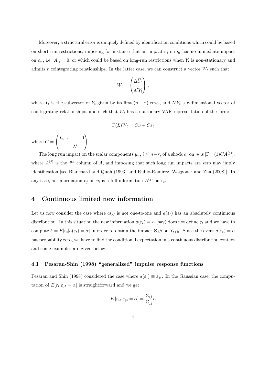Moreover, a structural error is uniquely defined by identification conditions which could be based on short run restrictions, imposing for instance that an impact  $e_i$  on  $\eta_t$  has no immediate impact on  $\varepsilon_{it}$ , i.e.  $A_{ij} = 0$ , or which could be based on long-run restrictions when  $Y_t$  is non-stationary and admits r cointegrating relationships. In the latter case, we can construct a vector  $W_t$  such that:

$$
W_t = \begin{pmatrix} \Delta \widetilde{Y}_t \\ \Lambda' Y_t \end{pmatrix} ,
$$

where  $\widetilde{Y}_t$  is the subvector of  $Y_t$  given by its first  $(n-r)$  rows, and  $\Lambda'Y_t$  a r-dimensional vector of cointegrating relationships, and such that  $W_t$  has a stationary VAR representation of the form:

$$
\Gamma(L)W_t = C\nu + C\varepsilon_t
$$

where  $C =$  $\sqrt{ }$  $\mathbf{I}$  $I_{n-r}$  0 Λ ′  $\setminus$  $\cdot$ 

The long run impact on the scalar components  $y_{it}$ ,  $i \leq n-r$ , of a shock  $e_j$  on  $\eta_t$  is  $[\Gamma^{-1}(1)CA^{(j)}]_i$ where  $A^{(j)}$  is the  $j<sup>th</sup>$  column of A, and imposing that such long run impacts are zero may imply identification [see Blanchard and Quah (1993) and Rubio-Ramirez, Waggoner and Zha (2008)]. In any case, an information  $e_j$  on  $\eta_t$  is a full information  $A^{(j)}$  on  $\varepsilon_t$ .

# 4 Continuous limited new information

Let us now consider the case where  $a(.)$  is not one-to-one and  $a(\varepsilon_t)$  has an absolutely continuous distribution. In this situation the new information  $a(\varepsilon_t) = \alpha$  (say) does not define  $\varepsilon_t$  and we have to compute  $\delta = E[\varepsilon_t | a(\varepsilon_t) = \alpha]$  in order to obtain the impact  $\Theta_h \delta$  on  $Y_{t+h}$ . Since the event  $a(\varepsilon_t) = \alpha$ has probability zero, we have to find the conditional expectation in a continuous distribution context and some examples are given below.

### 4.1 Pesaran-Shin (1998) "generalized" impulse response functions

Pesaran and Shin (1998) considered the case where  $a(\varepsilon_t) \equiv \varepsilon_{jt}$ . In the Gaussian case, the computation of  $E[\varepsilon_t|\varepsilon_{jt}=\alpha]$  is straightforward and we get:

$$
E\left[\varepsilon_{it}|\varepsilon_{jt}=\alpha\right]=\frac{\Sigma_{ij}}{\Sigma_{jj}}\alpha
$$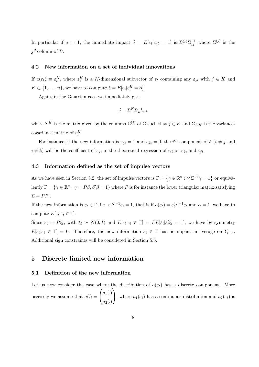In particular if  $\alpha = 1$ , the immediate impact  $\delta = E[\varepsilon_t|\varepsilon_{jt} = 1]$  is  $\Sigma^{(j)}\Sigma_{jj}^{-1}$  where  $\Sigma^{(j)}$  is the  $j^{th}$ column of  $\Sigma$ .

#### 4.2 New information on a set of individual innovations

If  $a(\varepsilon_t) \equiv \varepsilon_t^K$ , where  $\varepsilon_t^K$  is a K-dimensional subvector of  $\varepsilon_t$  containing any  $\varepsilon_{jt}$  with  $j \in K$  and  $K \subset \{1, \ldots, n\}$ , we have to compute  $\delta = E[\varepsilon_t | \varepsilon_t^K = \alpha].$ 

Again, in the Gaussian case we immediately get:

$$
\delta = \Sigma^{K} \Sigma_{KK}^{-1} \alpha
$$

where  $\Sigma^K$  is the matrix given by the columns  $\Sigma^{(j)}$  of  $\Sigma$  such that  $j \in K$  and  $\Sigma_{KK}$  is the variancecovariance matrix of  $\varepsilon_t^K$ .

For instance, if the new information is  $\varepsilon_{jt} = 1$  and  $\varepsilon_{kt} = 0$ , the i<sup>th</sup> component of  $\delta$  (i  $\neq j$  and  $i \neq k$ ) will be the coefficient of  $\varepsilon_{it}$  in the theoretical regression of  $\varepsilon_{it}$  on  $\varepsilon_{kt}$  and  $\varepsilon_{it}$ .

#### 4.3 Information defined as the set of impulse vectors

As we have seen in Section 3.2, the set of impulse vectors is  $\Gamma = \{ \gamma \in \mathbb{R}^n : \gamma' \Sigma^{-1} \gamma = 1 \}$  or equivalently  $\Gamma = \{ \gamma \in \mathbb{R}^n : \gamma = P\beta, \beta'\beta = 1 \}$  where P is for instance the lower triangular matrix satisfying  $\Sigma = PP'.$ 

If the new information is  $\varepsilon_t \in \Gamma$ , i.e.  $\varepsilon_t' \Sigma^{-1} \varepsilon_t = 1$ , that is if  $a(\varepsilon_t) = \varepsilon_t' \Sigma^{-1} \varepsilon_t$  and  $\alpha = 1$ , we have to compute  $E[\varepsilon_t|\varepsilon_t \in \Gamma].$ 

Since  $\varepsilon_t = P\xi_t$ , with  $\xi_t \backsim N(0, I)$  and  $E[\varepsilon_t | \varepsilon_t \in \Gamma] = PE[\xi_t | \xi_t]$  $t'_{t} \xi_t = 1$ , we have by symmetry  $E[\varepsilon_t | \varepsilon_t \in \Gamma] = 0$ . Therefore, the new information  $\varepsilon_t \in \Gamma$  has no impact in average on  $Y_{t+h}$ . Additional sign constraints will be considered in Section 5.5.

# 5 Discrete limited new information

#### 5.1 Definition of the new information

Let us now consider the case where the distribution of  $a(\varepsilon_t)$  has a discrete component. More precisely we assume that  $a(.) =$  $\sqrt{ }$  $\mathbf{I}$  $a_1(.)$  $a_2(.)$  $\setminus$ , where  $a_1(\varepsilon_t)$  has a continuous distribution and  $a_2(\varepsilon_t)$  is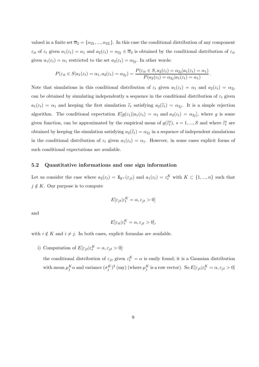valued in a finite set  $\overline{\alpha}_2 = {\alpha_{21}, ..., \alpha_{2L}}$ . In this case the conditional distribution of any component  $\varepsilon_{it}$  of  $\varepsilon_t$  given  $a_1(\varepsilon_t) = \alpha_1$  and  $a_2(\varepsilon_t) = \alpha_{2j} \in \overline{\alpha}_2$  is obtained by the conditional distribution of  $\varepsilon_{it}$ given  $a_1(\varepsilon_t) = \alpha_1$  restricted to the set  $a_2(\varepsilon_t) = \alpha_{2i}$ . In other words:

$$
P(\varepsilon_{it} \in S | a_1(\varepsilon_t) = \alpha_1, a_2(\varepsilon_t) = \alpha_{2j}) = \frac{P(\varepsilon_{it} \in S, a_2(\varepsilon_t) = \alpha_{2j} | a_1(\varepsilon_t) = \alpha_1)}{P(a_2(\varepsilon_t) = \alpha_{2j} | a_1(\varepsilon_t) = \alpha_1)}
$$

.

Note that simulations in this conditional distribution of  $\varepsilon_t$  given  $a_1(\varepsilon_t) = \alpha_1$  and  $a_2(\varepsilon_t) = \alpha_{2j}$ can be obtained by simulating independently a sequence in the conditional distribution of  $\varepsilon_t$  given  $a_1(\varepsilon_t) = \alpha_1$  and keeping the first simulation  $\tilde{\varepsilon}_t$  satisfying  $a_2(\tilde{\varepsilon}_t) = \alpha_{2j}$ . It is a simple rejection algorithm. The conditional expectation  $E[g(\varepsilon_t)|a_1(\varepsilon_t) = \alpha_1$  and  $a_2(\varepsilon_t) = \alpha_{2j}]$ , where g is some given function, can be approximated by the empirical mean of  $g(\tilde{\epsilon}_t^s)$ ,  $s = 1, ..., S$  and where  $\tilde{\epsilon}_t^s$  are obtained by keeping the simulation satisfying  $a_2(\tilde{\epsilon}_t) = \alpha_{2j}$  in a sequence of independent simulations in the conditional distribution of  $\varepsilon_t$  given  $a_1(\varepsilon_t) = \alpha_1$ . However, in some cases explicit forms of such conditional expectations are available.

## 5.2 Quantitative informations and one sign information

Let us consider the case where  $a_2(\varepsilon_t) = \mathbb{1}_{\mathbb{R}^+}(\varepsilon_{jt})$  and  $a_1(\varepsilon_t) = \varepsilon_t^K$  with  $K \subset \{1, ..., n\}$  such that  $j \notin K$ . Our purpose is to compute

$$
E[\varepsilon_{jt}|\varepsilon_t^K = \alpha, \varepsilon_{jt} > 0]
$$

and

$$
E[\varepsilon_{it}|\varepsilon_t^K = \alpha, \varepsilon_{jt} > 0],
$$

with  $i \notin K$  and  $i \neq j$ . In both cases, explicit formulas are available.

i) Computation of  $E[\varepsilon_{jt}|\varepsilon_t^K = \alpha, \varepsilon_{jt} > 0]$ :

the conditional distribution of  $\varepsilon_{jt}$  given  $\varepsilon_t^K = \alpha$  is easily found; it is a Gaussian distribution with mean  $\mu_j^K \alpha$  and variance  $(\sigma_j^K)^2$  (say) (where  $\mu_j^K$  is a row vector). So  $E[\varepsilon_{jt} | \varepsilon_t^K = \alpha, \varepsilon_{jt} > 0]$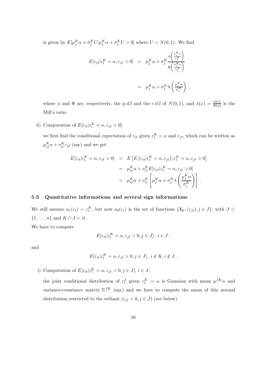is given by  $E[\mu_j^K \alpha + \sigma_j^K U | \mu_j^K \alpha + \sigma_j^K U > 0]$  where  $U \backsim N(0, 1)$ . We find

$$
E[\varepsilon_{jt}|\varepsilon_t^K = \alpha, \varepsilon_{jt} > 0] = \mu_j^K \alpha + \sigma_j^K \frac{\phi\left(\frac{\mu_j^K \alpha}{\sigma_j^K}\right)}{\Phi\left(\frac{\mu_j^K \alpha}{\sigma_j^K}\right)}
$$

$$
= \mu_j^K \alpha + \sigma_j^K \lambda \left(\frac{\mu_j^K \alpha}{\sigma_j^K}\right),
$$

where  $\phi$  and  $\Phi$  are, respectively, the p.d.f and the c.d.f of  $N(0,1)$ , and  $\lambda(x) = \frac{\phi(x)}{\Phi(x)}$  is the Mill's ratio.

ii) Computation of  $E[\varepsilon_{it}|\varepsilon_t^K = \alpha, \varepsilon_{jt} > 0]$ :

we first find the conditional expectation of  $\varepsilon_{it}$  given  $\varepsilon_t^K = \alpha$  and  $\varepsilon_{jt}$ , which can be written as  $\mu_{ij}^K \alpha + \nu_{ij}^K \varepsilon_{jt}$  (say) and we get:

$$
E[\varepsilon_{it}|\varepsilon_t^K = \alpha, \varepsilon_{jt} > 0] = E\left[E\left(\varepsilon_{it}|\varepsilon_t^K = \alpha, \varepsilon_{jt}\right)|\varepsilon_t^K = \alpha, \varepsilon_{jt} > 0\right]
$$

$$
= \mu_{ij}^K \alpha + \nu_{ij}^K E[\varepsilon_{jt}|\varepsilon_t^K = \alpha, \varepsilon_{jt} > 0]
$$

$$
= \mu_{ij}^K \alpha + \nu_{ij}^K \left[\mu_j^K \alpha + \sigma_j^K \lambda \left(\frac{\mu_j^K \alpha}{\sigma_j^K}\right)\right].
$$

#### 5.3 Quantitative informations and several sign informations

We still assume  $a_1(\varepsilon_t) = \varepsilon_t^K$ , but now  $a_2(\varepsilon_t)$  is the set of functions  $\{\mathbb{1}_{\mathbb{R}^+}(\varepsilon_{jt}), j \in J\}$ , with  $J \subset$  $\{1, \ldots, n\}$  and  $K \cap J = \emptyset$ .

We have to compute

$$
E[\varepsilon_{it}|\varepsilon_t^K = \alpha, \varepsilon_{jt} > 0, j \in J], i \in J,
$$

and

$$
E[\varepsilon_{it}|\varepsilon_t^K = \alpha, \varepsilon_{jt} > 0, j \in J], i \notin K, i \notin J.
$$

i) Computation of  $E[\varepsilon_{it}|\varepsilon_t^K = \alpha, \varepsilon_{jt} > 0, j \in J], i \in J$ :

the joint conditional distribution of  $\varepsilon_t^J$  given  $\varepsilon_t^K = \alpha$  is Gaussian with mean  $\mu^{JK} \alpha$  and variance-covariance matrix  $\Sigma^{JK}$  (say) and we have to compute the mean of this normal distribution restricted to the orthant  $(\varepsilon_{jt} > 0, j \in J)$  (see below).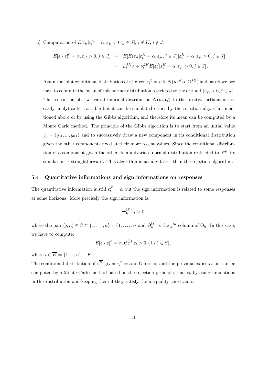ii) Computation of  $E[\varepsilon_{it}|\varepsilon_t^K = \alpha, \varepsilon_{jt} > 0, j \in J], i \notin K, i \notin J$ :

$$
E[\varepsilon_{it}|\varepsilon_t^K = \alpha, \varepsilon_{jt} > 0, j \in J] = E[E(\varepsilon_{it}|\varepsilon_t^K = \alpha, \varepsilon_{jt}, j \in J)|\varepsilon_t^K = \alpha, \varepsilon_{jt} > 0, j \in J]
$$
  

$$
= \mu_i^{JK} \alpha + \nu_i^{JK} E[\varepsilon_t^J|\varepsilon_t^K = \alpha, \varepsilon_{jt} > 0, j \in J].
$$

Again the joint conditional distribution of  $\varepsilon_t^J$  given  $\varepsilon_t^K = \alpha$  is  $N(\mu^{JK}\alpha, \Sigma^{JK})$  and, as above, we have to compute the mean of this normal distribution restricted to the orthant  $(\varepsilon_{jt} > 0, j \in J)$ . The restriction of a J-variate normal distribution  $N(m, Q)$  to the positive orthant is not easily analytically tractable but it can be simulated either by the rejection algorithm mentioned above or by using the Gibbs algorithm, and therefore its mean can be computed by a Monte Carlo method. The principle of the Gibbs algorithm is to start from an initial value  $y_0 = (y_{01},...,y_{0J})$  and to successively draw a new component in its conditional distribution given the other components fixed at their more recent values. Since the conditional distribution of a component given the others is a univariate normal distribution restricted to  $\mathbb{R}^+$ , its simulation is straightforward. This algorithm is usually faster than the rejection algorithm.

#### 5.4 Quantitative informations and sign informations on responses

The quantitative information is still  $\varepsilon_t^K = \alpha$  but the sign information is related to some responses at some horizons. More precisely the sign information is:

$$
\Theta_h^{(j)}{}' \varepsilon_t > 0
$$

where the pair  $(j, h) \in S \subset \{1, \ldots, n\} \times \{1, \ldots, n\}$  and  $\Theta_h^{(j)}$  is the  $j^{th}$  column of  $\Theta_h$ . In this case, we have to compute:

$$
E[\varepsilon_{it}|\varepsilon^{K}_{t}=\alpha,\Theta_{h}^{(j)\prime}\varepsilon_{t}>0,(j,h)\in S]\,,
$$

where  $i \in \overline{K} = \{1, ..., n\} - K$ .

The conditional distribution of  $\varepsilon_t^K$  given  $\varepsilon_t^K = \alpha$  is Gaussian and the previous expectation can be computed by a Monte Carlo method based on the rejection principle, that is, by using simulations in this distribution and keeping them if they satisfy the inequality constraints.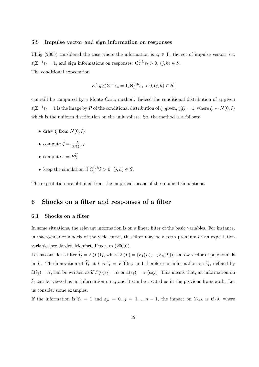#### 5.5 Impulse vector and sign information on responses

Uhlig (2005) considered the case where the information is  $\varepsilon_t \in \Gamma$ , the set of impulse vector, *i.e.*  $\varepsilon'_t \Sigma^{-1} \varepsilon_t = 1$ , and sign informations on responses:  $\Theta_h^{(j)}$  $\ell \varepsilon_t > 0, (j, h) \in S.$ The conditional expectation

$$
E[\varepsilon_{it}|\varepsilon_t' \Sigma^{-1} \varepsilon_t = 1, \Theta_h^{(j)} \varepsilon_t > 0, (j, h) \in S]
$$

can still be computed by a Monte Carlo method. Indeed the conditional distribution of  $\varepsilon_t$  given  $\varepsilon'_t \Sigma^{-1} \varepsilon_t = 1$  is the image by P of the conditional distribution of  $\xi_t$  given,  $\xi'_t$  $t'_{t} \xi_{t} = 1$ , where  $\xi_{t} \backsim N(0, I)$ which is the uniform distribution on the unit sphere. So, the method is a follows:

- draw  $\xi$  from  $N(0, I)$
- compute  $\widetilde{\xi} = \frac{\xi}{(\xi' \xi)}$ (ξ ′ξ) 1/2
- compute  $\widetilde{\varepsilon} = P\widetilde{\xi}$
- keep the simulation if  $\Theta_h^{(j)}$  $'\tilde{\varepsilon} > 0, (j, h) \in S.$

The expectation are obtained from the empirical means of the retained simulations.

# 6 Shocks on a filter and responses of a filter

#### 6.1 Shocks on a filter

In some situations, the relevant information is on a linear filter of the basic variables. For instance, in macro-finance models of the yield curve, this filter may be a term premium or an expectation variable (see Jardet, Monfort, Pegoraro (2009)).

Let us consider a filter  $Y_t = F(L)Y_t$ , where  $F(L) = (F_1(L), ..., F_n(L))$  is a row vector of polynomials in L. The innovation of  $Y_t$  at t is  $\tilde{\varepsilon}_t = F(0)\varepsilon_t$ , and therefore an information on  $\tilde{\varepsilon}_t$ , defined by  $\tilde{a}(\tilde{\epsilon}_t) = \alpha$ , can be written as  $\tilde{a}[F(0)\epsilon_t] = \alpha$  or  $a(\epsilon_t) = \alpha$  (say). This means that, an information on  $\tilde{\varepsilon}_t$  can be viewed as an information on  $\varepsilon_t$  and it can be treated as in the previous framework. Let us consider some examples.

If the information is  $\tilde{\varepsilon}_t = 1$  and  $\varepsilon_{jt} = 0$ ,  $j = 1, ..., n-1$ , the impact on  $Y_{t+h}$  is  $\Theta_h \delta$ , where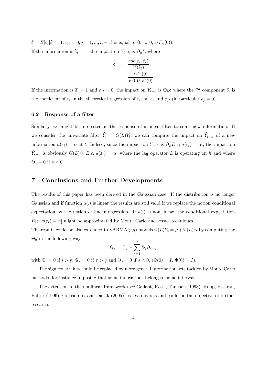$\delta = E[\varepsilon_t | \tilde{\varepsilon}_t = 1, \varepsilon_{jt} = 0, j = 1, ..., n-1]$  is equal to  $(0, ..., 0, 1/F_n(0))$ . If the information is  $\tilde{\varepsilon}_t = 1$ , the impact on  $Y_{t+h}$  is  $\Theta_h \delta$ , where

$$
\delta = \frac{cov(\varepsilon_t, \widetilde{\varepsilon}_t)}{V(\widetilde{\varepsilon}_t)}
$$

$$
= \frac{\Sigma F'(0)}{F(0)\Sigma F'(0)}
$$

If the information is  $\tilde{\varepsilon}_t = 1$  and  $\varepsilon_{jt} = 0$ , the impact on  $Y_{t+h}$  is  $\Theta_h \delta$  where the  $i^{th}$  component  $\delta_i$  is the coefficient of  $\tilde{\varepsilon}_t$  in the theoretical regression of  $\varepsilon_{it}$  on  $\tilde{\varepsilon}_t$  and  $\varepsilon_{jt}$  (in particular  $\delta_j = 0$ ).

#### 6.2 Response of a filter

Similarly, we might be interested in the response of a linear filter to some new information. If we consider the univariate filter  $Y_t = G(L)Y_t$ , we can compute the impact on  $Y_{t+h}$  of a new information  $a(\varepsilon_t) = \alpha$  at t. Indeed, since the impact on  $Y_{t+h}$  is  $\Theta_h E[\varepsilon_t | a(\varepsilon_t) = \alpha]$ , the impact on  $Y_{t+h}$  is obviously  $G(L)\Theta_h E[\varepsilon_t|a(\varepsilon_t) = \alpha]$  where the lag operator L is operating on h and where  $\Theta_s = 0$  if  $s < 0$ .

# 7 Conclusions and Further Developments

The results of this paper has been derived in the Gaussian case. If the distribution is no longer Gaussian and if function  $a(.)$  is linear the results are still valid if we replace the notion conditional expectation by the notion of linear regression. If  $a(.)$  is non linear, the conditional expectation  $E[\epsilon_t|a(\epsilon_t)=\alpha]$  might be approximated by Monte Carlo and kernel techniques.

The results could be also extended to  $VARMA(p,q)$  models  $\Phi(L)Y_t = \mu + \Psi(L)\varepsilon_t$  by computing the  $\Theta_h$  in the following way

$$
\Theta_{\tau} = \Psi_{\tau} - \sum_{i=1}^{\tau} \Phi_i \Theta_{\tau - i}
$$

with  $\Phi_i = 0$  if  $i > p$ ,  $\Psi_{\tau} = 0$  if  $\tau > q$  and  $\Theta_s = 0$  if  $s < 0$ ,  $(\Phi(0) = I, \Psi(0) = I)$ .

The sign constraints could be replaced by more general information sets tackled by Monte Carlo methods, for instance imposing that some innovations belong to some intervals.

The extension to the nonlinear framework (see Gallant, Rossi, Tauchen (1993), Koop, Pesaran, Potter (1996), Gourieroux and Jasiak (2005)) is less obvious and could be the objective of further research.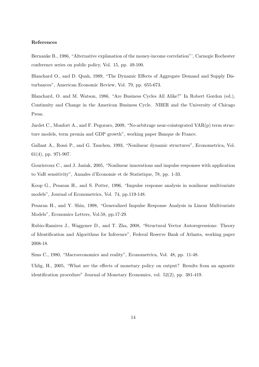#### References

Bernanke B., 1986, "Alternative explanation of the money-income correlation"', Carnegie Rochester conference series on public policy, Vol. 15, pp. 49-100.

Blanchard O., and D. Quah, 1989, "The Dynamic Effects of Aggregate Demand and Supply Disturbances", American Economic Review, Vol. 79, pp. 655-673.

Blanchard, O. and M. Watson, 1986, "Are Business Cycles All Alike?" In Robert Gordon (ed.), Continuity and Change in the American Business Cycle. NBER and the University of Chicago Press.

Jardet C., Monfort A., and F. Pegoraro, 2009, "No-arbitrage near-cointegrated VAR(p) term structure models, term premia and GDP growth", working paper Banque de France.

Gallant A., Rossi P., and G. Tauchen, 1993, "Nonlinear dynamic structures", Econometrica, Vol. 61(4), pp. 971-907.

Gourieroux C., and J. Jasiak, 2005, "Nonlinear innovations and impulse responses with application to VaR sensitivity", Annales d'Economie et de Statistique, 78, pp. 1-33.

Koop G., Pesaran H., and S. Potter, 1996, "Impulse response analysis in nonlinear multivariate models", Journal of Econometrics, Vol. 74, pp.119-148.

Pesaran H., and Y. Shin, 1998, "Generalized Impulse Response Analysis in Linear Multivariate Models", Economics Letters, Vol.58, pp.17-29.

Rubio-Ramirez J., Waggoner D., and T. Zha, 2008, "Structural Vector Autoregressions: Theory of Identification and Algorithms for Inference", Federal Reserve Bank of Atlanta, working paper 2008-18.

Sims C., 1980, "Macroeconomics and reality", Econometrica, Vol. 48, pp. 11-48.

Uhlig, H., 2005, "What are the effects of monetary policy on output? Results from an agnostic identification procedure" Journal of Monetary Economics, vol. 52(2), pp. 381-419.